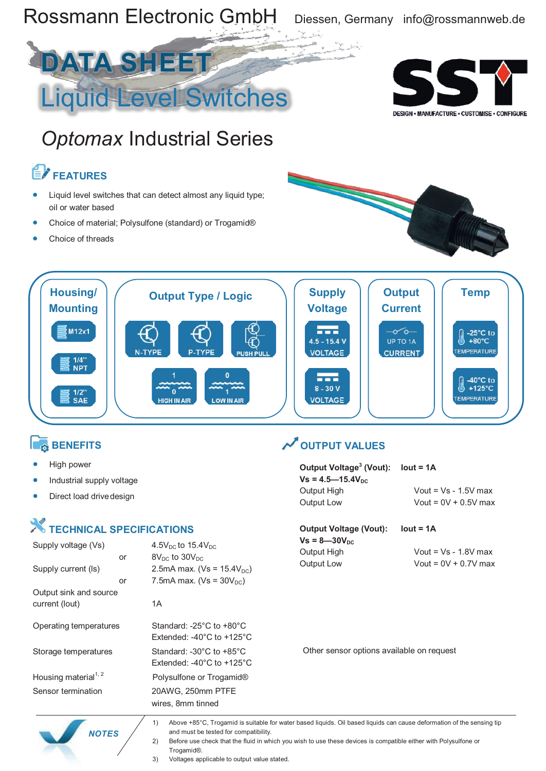

 *NOTES*

1) Above +85°C, Trogamid is suitable for water based liquids. Oil based liquids can cause deformation of the sensing tip and must be tested for compatibility.

2) Before use check that the fluid in which you wish to use these devices is compatible either with Polysulfone or Trogamid®.

3) Voltages applicable to output value stated.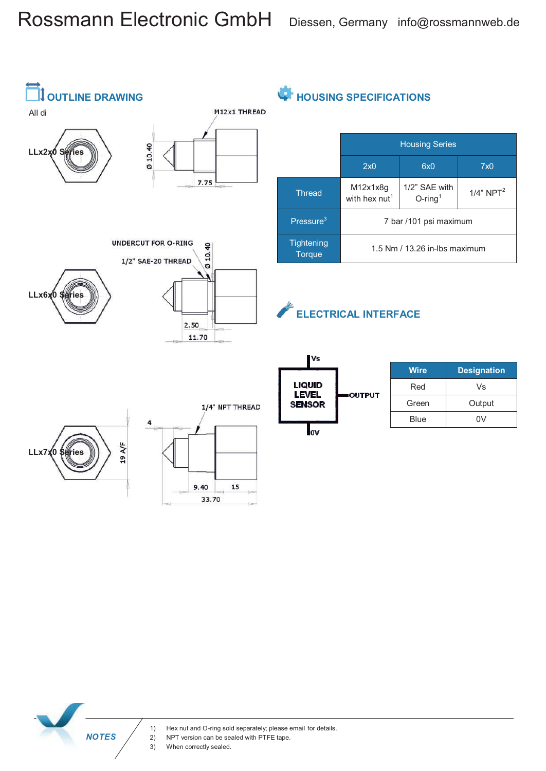# Rossmann Electronic GmbH Diessen, Germany info@rossmannweb.de



**HOUSING SPECIFICATIONS** 

|                             | <b>Housing Series</b>                 |                                         |                  |
|-----------------------------|---------------------------------------|-----------------------------------------|------------------|
|                             | 2x0                                   | 6x0                                     | 7x0              |
| <b>Thread</b>               | M12x1x8g<br>with hex nut <sup>1</sup> | 1/2" SAE with<br>$O$ -ring <sup>1</sup> | $1/4$ " NPT $^2$ |
| Pressure <sup>3</sup>       | 7 bar /101 psi maximum                |                                         |                  |
| Tightening<br><b>Torque</b> | 1.5 Nm / 13.26 in-lbs maximum         |                                         |                  |

### **ELECTRICAL INTERFACE**

OUTPUT

| <b>Wire</b> | <b>Designation</b> |
|-------------|--------------------|
| Red         | Vs                 |
| Green       | Output             |
| Blue        | ۵V                 |



 *NOTES*

2) NPT version can be sealed with PTFE tape.<br>3) When correctly sealed.

When correctly sealed.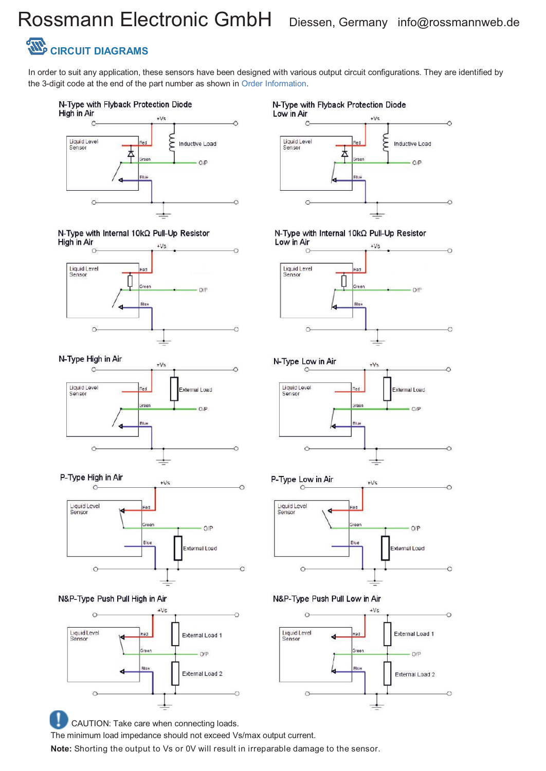# Rossmann Electronic GmbH Diessen, Germany info@rossmannweb.de

## **CIRCUIT DIAGRAMS**

N-Type High in Air

Liquid Level<br>Sensor

 $\circ$ 

 $\circ$ 

P-Type High in Air

Liquid Level<br>Sensor

 $\epsilon$ 

 $\circ$ 

In order to suit any application, these sensors have been designed with various output circuit configurations. They are identified by the 3-digit code at the end of the part number as shown in Order Information.



#### N-Type with Internal 10kΩ Pull-Up Resistor High in Air +Vs



 $+V<sub>5</sub>$ 

 $+Vs$ 

External Load

 $O/F$ 

O/P

External Load

Ó

Ċ

### N-Type with Flyback Protection Diode



N-Type with Internal 10kΩ Pull-Up Resistor



N-Type Low in Air





N&P-Type Push Pull Low in Air



N&P-Type Push Pull High in Air



Blue

CAUTION: Take care when connecting loads.

The minimum load impedance should not exceed Vs/max output current.

**Note:** Shorting the output to Vs or 0V will result in irreparable damage to the sensor.